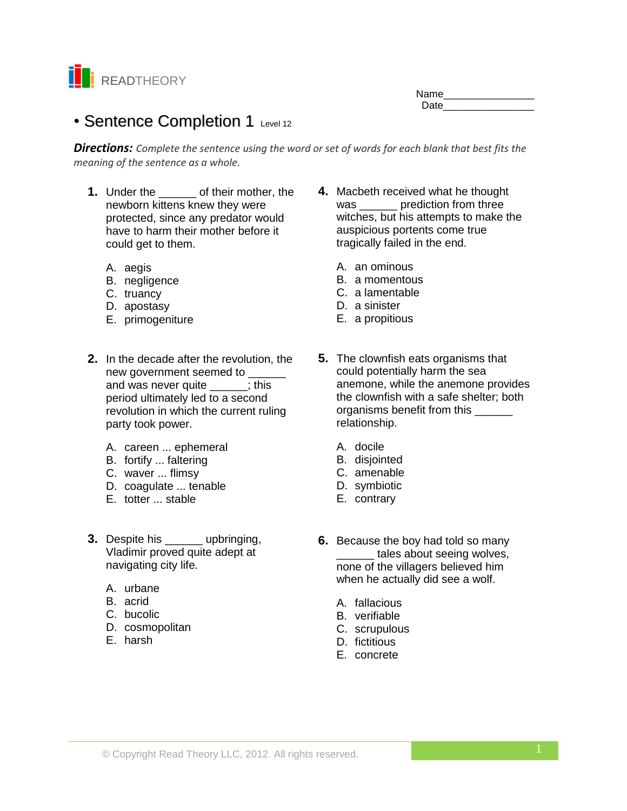

| Name |  |
|------|--|
| Date |  |

# • Sentence Completion 1 Level 12

*Directions: Complete the sentence using the word or set of words for each blank that best fits the meaning of the sentence as a whole.*

- **1.** Under the **of their mother**, the newborn kittens knew they were protected, since any predator would have to harm their mother before it could get to them.
	- A. aegis
	- B. negligence
	- C. truancy
	- D. apostasy
	- E. primogeniture
- **2.** In the decade after the revolution, the new government seemed to \_\_\_\_\_\_ and was never quite **the state** ; this period ultimately led to a second revolution in which the current ruling party took power.
	- A. careen ... ephemeral
	- B. fortify ... faltering
	- C. waver ... flimsy
	- D. coagulate ... tenable
	- E. totter ... stable
- **3.** Despite his \_\_\_\_\_\_ upbringing, Vladimir proved quite adept at navigating city life.
	- A. urbane
	- B. acrid
	- C. bucolic
	- D. cosmopolitan
	- E. harsh
- **4.** Macbeth received what he thought was **prediction** from three witches, but his attempts to make the auspicious portents come true tragically failed in the end.
	- A. an ominous
	- B. a momentous
	- C. a lamentable
	- D. a sinister
	- E. a propitious
- **5.** The clownfish eats organisms that could potentially harm the sea anemone, while the anemone provides the clownfish with a safe shelter; both organisms benefit from this \_\_\_\_\_\_ relationship.
	- A. docile
	- B. disjointed
	- C. amenable
	- D. symbiotic
	- E. contrary
- **6.** Because the boy had told so many tales about seeing wolves. none of the villagers believed him when he actually did see a wolf.
	- A. fallacious
	- B. verifiable
	- C. scrupulous
	- D. fictitious
	- E. concrete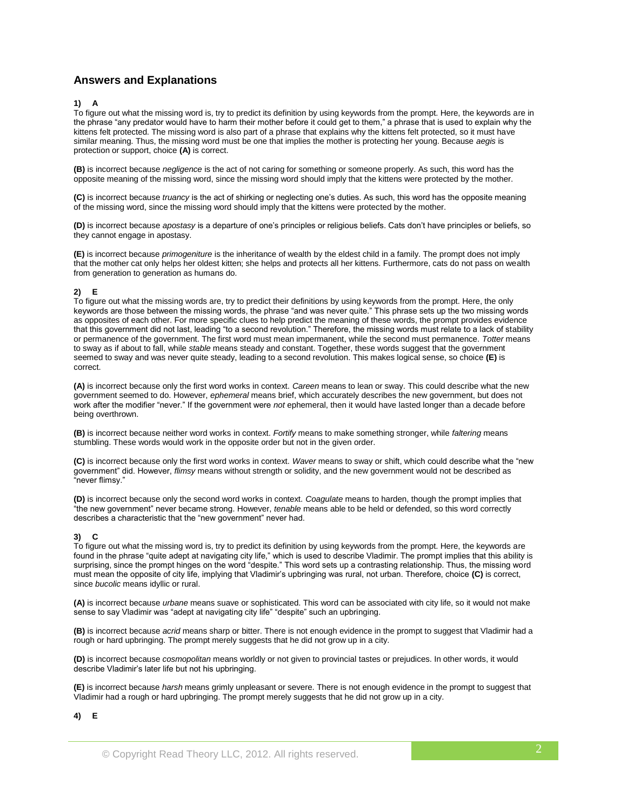# **Answers and Explanations**

### **1) A**

To figure out what the missing word is, try to predict its definition by using keywords from the prompt. Here, the keywords are in the phrase "any predator would have to harm their mother before it could get to them," a phrase that is used to explain why the kittens felt protected. The missing word is also part of a phrase that explains why the kittens felt protected, so it must have similar meaning. Thus, the missing word must be one that implies the mother is protecting her young. Because *aegis* is protection or support, choice **(A)** is correct.

**(B)** is incorrect because *negligence* is the act of not caring for something or someone properly. As such, this word has the opposite meaning of the missing word, since the missing word should imply that the kittens were protected by the mother.

**(C)** is incorrect because *truancy* is the act of shirking or neglecting one's duties. As such, this word has the opposite meaning of the missing word, since the missing word should imply that the kittens were protected by the mother.

**(D)** is incorrect because *apostasy* is a departure of one's principles or religious beliefs. Cats don't have principles or beliefs, so they cannot engage in apostasy.

**(E)** is incorrect because *primogeniture* is the inheritance of wealth by the eldest child in a family. The prompt does not imply that the mother cat only helps her oldest kitten; she helps and protects all her kittens. Furthermore, cats do not pass on wealth from generation to generation as humans do.

# **2) E**

To figure out what the missing words are, try to predict their definitions by using keywords from the prompt. Here, the only keywords are those between the missing words, the phrase "and was never quite." This phrase sets up the two missing words as opposites of each other. For more specific clues to help predict the meaning of these words, the prompt provides evidence that this government did not last, leading "to a second revolution." Therefore, the missing words must relate to a lack of stability or permanence of the government. The first word must mean impermanent, while the second must permanence. *Totter* means to sway as if about to fall, while *stable* means steady and constant. Together, these words suggest that the government seemed to sway and was never quite steady, leading to a second revolution. This makes logical sense, so choice **(E)** is correct.

**(A)** is incorrect because only the first word works in context. *Careen* means to lean or sway. This could describe what the new government seemed to do. However, *ephemeral* means brief, which accurately describes the new government, but does not work after the modifier "never." If the government were *not* ephemeral, then it would have lasted longer than a decade before being overthrown.

**(B)** is incorrect because neither word works in context. *Fortify* means to make something stronger, while *faltering* means stumbling. These words would work in the opposite order but not in the given order.

**(C)** is incorrect because only the first word works in context. *Waver* means to sway or shift, which could describe what the "new government" did. However, *flimsy* means without strength or solidity, and the new government would not be described as "never flimsy."

**(D)** is incorrect because only the second word works in context. *Coagulate* means to harden, though the prompt implies that "the new government" never became strong. However, *tenable* means able to be held or defended, so this word correctly describes a characteristic that the "new government" never had.

# **3) C**

To figure out what the missing word is, try to predict its definition by using keywords from the prompt. Here, the keywords are found in the phrase "quite adept at navigating city life," which is used to describe Vladimir. The prompt implies that this ability is surprising, since the prompt hinges on the word "despite." This word sets up a contrasting relationship. Thus, the missing word must mean the opposite of city life, implying that Vladimir's upbringing was rural, not urban. Therefore, choice **(C)** is correct, since *bucolic* means idyllic or rural.

**(A)** is incorrect because *urbane* means suave or sophisticated. This word can be associated with city life, so it would not make sense to say Vladimir was "adept at navigating city life" "despite" such an upbringing.

**(B)** is incorrect because *acrid* means sharp or bitter. There is not enough evidence in the prompt to suggest that Vladimir had a rough or hard upbringing. The prompt merely suggests that he did not grow up in a city.

**(D)** is incorrect because *cosmopolitan* means worldly or not given to provincial tastes or prejudices. In other words, it would describe Vladimir's later life but not his upbringing.

**(E)** is incorrect because *harsh* means grimly unpleasant or severe. There is not enough evidence in the prompt to suggest that Vladimir had a rough or hard upbringing. The prompt merely suggests that he did not grow up in a city.

#### **4) E**